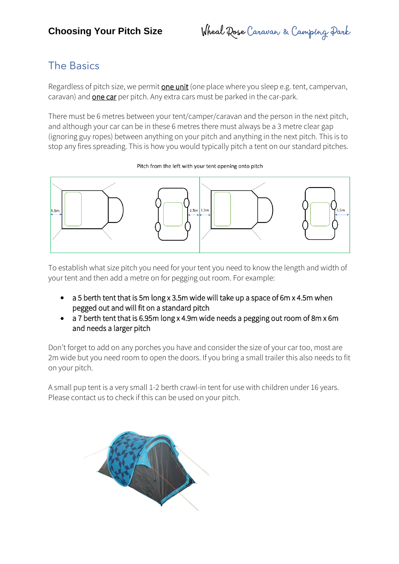**Choosing Your Pitch Size** Wheal Rose Caravan & Camping Park

## The Basics

Regardless of pitch size, we permit one unit (one place where you sleep e.g. tent, campervan, caravan) and **one car** per pitch. Any extra cars must be parked in the car-park.

There must be 6 metres between your tent/camper/caravan and the person in the next pitch, and although your car can be in these 6 metres there must always be a 3 metre clear gap (ignoring guy ropes) between anything on your pitch and anything in the next pitch. This is to stop any fires spreading. This is how you would typically pitch a tent on our standard pitches.

# $1.5<sub>rr</sub>$  $1.5m$  1.5n

To establish what size pitch you need for your tent you need to know the length and width of your tent and then add a metre on for pegging out room. For example:

- a 5 berth tent that is 5m long x 3.5m wide will take up a space of 6m x 4.5m when pegged out and will fit on a standard pitch
- a 7 berth tent that is 6.95m long x 4.9m wide needs a pegging out room of 8m x 6m and needs a larger pitch

Don't forget to add on any porches you have and consider the size of your car too, most are 2m wide but you need room to open the doors. If you bring a small trailer this also needs to fit on your pitch.

A small pup tent is a very small 1-2 berth crawl-in tent for use with children under 16 years. Please contact us to check if this can be used on your pitch.



#### Pitch from the left with your tent opening onto pitch